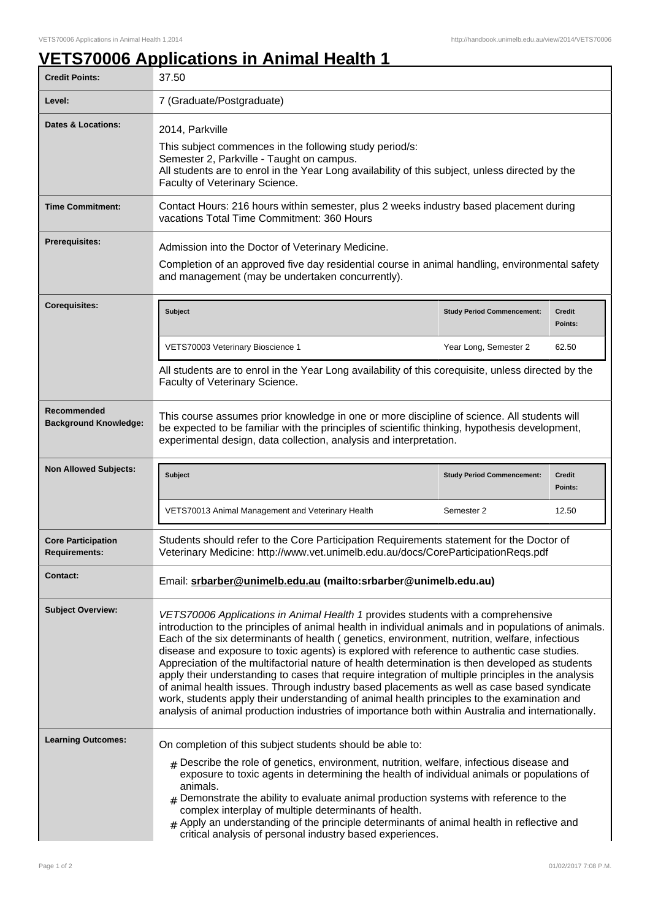## **VETS70006 Applications in Animal Health 1**

| <b>Credit Points:</b>                             | 37.50                                                                                                                                                                                                                                                                                                                                                                                                                                                                                                                                                                                                                                                                                                                                                                                                                                                                                               |                                   |                          |
|---------------------------------------------------|-----------------------------------------------------------------------------------------------------------------------------------------------------------------------------------------------------------------------------------------------------------------------------------------------------------------------------------------------------------------------------------------------------------------------------------------------------------------------------------------------------------------------------------------------------------------------------------------------------------------------------------------------------------------------------------------------------------------------------------------------------------------------------------------------------------------------------------------------------------------------------------------------------|-----------------------------------|--------------------------|
| Level:                                            | 7 (Graduate/Postgraduate)                                                                                                                                                                                                                                                                                                                                                                                                                                                                                                                                                                                                                                                                                                                                                                                                                                                                           |                                   |                          |
| <b>Dates &amp; Locations:</b>                     | 2014, Parkville<br>This subject commences in the following study period/s:<br>Semester 2, Parkville - Taught on campus.<br>All students are to enrol in the Year Long availability of this subject, unless directed by the<br>Faculty of Veterinary Science.                                                                                                                                                                                                                                                                                                                                                                                                                                                                                                                                                                                                                                        |                                   |                          |
| <b>Time Commitment:</b>                           | Contact Hours: 216 hours within semester, plus 2 weeks industry based placement during<br>vacations Total Time Commitment: 360 Hours                                                                                                                                                                                                                                                                                                                                                                                                                                                                                                                                                                                                                                                                                                                                                                |                                   |                          |
| Prerequisites:                                    | Admission into the Doctor of Veterinary Medicine.<br>Completion of an approved five day residential course in animal handling, environmental safety<br>and management (may be undertaken concurrently).                                                                                                                                                                                                                                                                                                                                                                                                                                                                                                                                                                                                                                                                                             |                                   |                          |
| <b>Corequisites:</b>                              | <b>Subject</b>                                                                                                                                                                                                                                                                                                                                                                                                                                                                                                                                                                                                                                                                                                                                                                                                                                                                                      | <b>Study Period Commencement:</b> | <b>Credit</b><br>Points: |
|                                                   | VETS70003 Veterinary Bioscience 1                                                                                                                                                                                                                                                                                                                                                                                                                                                                                                                                                                                                                                                                                                                                                                                                                                                                   | Year Long, Semester 2             | 62.50                    |
|                                                   | All students are to enrol in the Year Long availability of this corequisite, unless directed by the<br>Faculty of Veterinary Science.                                                                                                                                                                                                                                                                                                                                                                                                                                                                                                                                                                                                                                                                                                                                                               |                                   |                          |
| Recommended<br><b>Background Knowledge:</b>       | This course assumes prior knowledge in one or more discipline of science. All students will<br>be expected to be familiar with the principles of scientific thinking, hypothesis development,<br>experimental design, data collection, analysis and interpretation.                                                                                                                                                                                                                                                                                                                                                                                                                                                                                                                                                                                                                                 |                                   |                          |
| <b>Non Allowed Subjects:</b>                      | <b>Subject</b>                                                                                                                                                                                                                                                                                                                                                                                                                                                                                                                                                                                                                                                                                                                                                                                                                                                                                      | <b>Study Period Commencement:</b> | <b>Credit</b><br>Points: |
|                                                   | VETS70013 Animal Management and Veterinary Health                                                                                                                                                                                                                                                                                                                                                                                                                                                                                                                                                                                                                                                                                                                                                                                                                                                   | Semester 2                        | 12.50                    |
| <b>Core Participation</b><br><b>Requirements:</b> | Students should refer to the Core Participation Requirements statement for the Doctor of<br>Veterinary Medicine: http://www.vet.unimelb.edu.au/docs/CoreParticipationReqs.pdf                                                                                                                                                                                                                                                                                                                                                                                                                                                                                                                                                                                                                                                                                                                       |                                   |                          |
| Contact:                                          | Email: srbarber@unimelb.edu.au (mailto:srbarber@unimelb.edu.au)                                                                                                                                                                                                                                                                                                                                                                                                                                                                                                                                                                                                                                                                                                                                                                                                                                     |                                   |                          |
| <b>Subject Overview:</b>                          | VETS70006 Applications in Animal Health 1 provides students with a comprehensive<br>introduction to the principles of animal health in individual animals and in populations of animals.<br>Each of the six determinants of health (genetics, environment, nutrition, welfare, infectious<br>disease and exposure to toxic agents) is explored with reference to authentic case studies.<br>Appreciation of the multifactorial nature of health determination is then developed as students<br>apply their understanding to cases that require integration of multiple principles in the analysis<br>of animal health issues. Through industry based placements as well as case based syndicate<br>work, students apply their understanding of animal health principles to the examination and<br>analysis of animal production industries of importance both within Australia and internationally. |                                   |                          |
| <b>Learning Outcomes:</b>                         | On completion of this subject students should be able to:<br>$#$ Describe the role of genetics, environment, nutrition, welfare, infectious disease and<br>exposure to toxic agents in determining the health of individual animals or populations of<br>animals.<br>$#$ Demonstrate the ability to evaluate animal production systems with reference to the<br>complex interplay of multiple determinants of health.<br>$#$ Apply an understanding of the principle determinants of animal health in reflective and<br>critical analysis of personal industry based experiences.                                                                                                                                                                                                                                                                                                                   |                                   |                          |